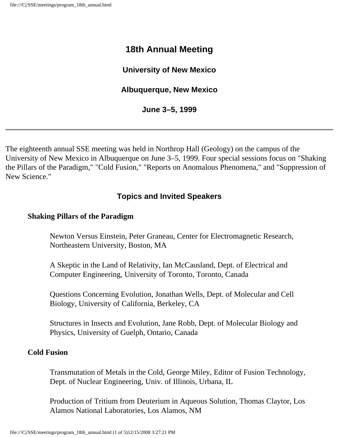# **18th Annual Meeting**

### **University of New Mexico**

### **Albuquerque, New Mexico**

#### **June 3–5, 1999**

The eighteenth annual SSE meeting was held in Northrop Hall (Geology) on the campus of the University of New Mexico in Albuquerque on June 3–5, 1999. Four special sessions focus on "Shaking the Pillars of the Paradigm," "Cold Fusion," "Reports on Anomalous Phenomena," and "Suppression of New Science."

# **Topics and Invited Speakers**

#### **Shaking Pillars of the Paradigm**

Newton Versus Einstein, Peter Graneau, Center for Electromagnetic Research, Northeastern University, Boston, MA

A Skeptic in the Land of Relativity, Ian McCausland, Dept. of Electrical and Computer Engineering, University of Toronto, Toronto, Canada

Questions Concerning Evolution, Jonathan Wells, Dept. of Molecular and Cell Biology, University of California, Berkeley, CA

Structures in Insects and Evolution, Jane Robb, Dept. of Molecular Biology and Physics, University of Guelph, Ontario, Canada

#### **Cold Fusion**

Transmutation of Metals in the Cold, George Miley, Editor of Fusion Technology, Dept. of Nuclear Engineering, Univ. of Illinois, Urbana, IL

Production of Tritium from Deuterium in Aqueous Solution, Thomas Claytor, Los Alamos National Laboratories, Los Alamos, NM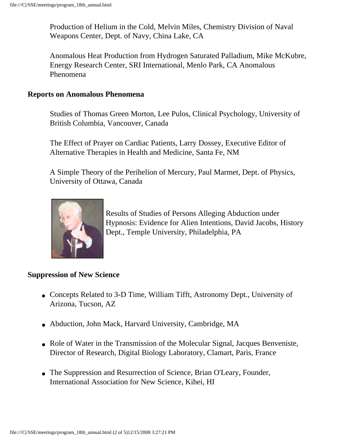Production of Helium in the Cold, Melvin Miles, Chemistry Division of Naval Weapons Center, Dept. of Navy, China Lake, CA

Anomalous Heat Production from Hydrogen Saturated Palladium, Mike McKubre, Energy Research Center, SRI International, Menlo Park, CA Anomalous Phenomena

#### **Reports on Anomalous Phenomena**

Studies of Thomas Green Morton, Lee Pulos, Clinical Psychology, University of British Columbia, Vancouver, Canada

The Effect of Prayer on Cardiac Patients, Larry Dossey, Executive Editor of Alternative Therapies in Health and Medicine, Santa Fe, NM

A Simple Theory of the Perihelion of Mercury, Paul Marmet, Dept. of Physics, University of Ottawa, Canada



Results of Studies of Persons Alleging Abduction under Hypnosis: Evidence for Alien Intentions, David Jacobs, History Dept., Temple University, Philadelphia, PA

#### **Suppression of New Science**

- Concepts Related to 3-D Time, William Tifft, Astronomy Dept., University of Arizona, Tucson, AZ
- Abduction, John Mack, Harvard University, Cambridge, MA
- Role of Water in the Transmission of the Molecular Signal, Jacques Benveniste, Director of Research, Digital Biology Laboratory, Clamart, Paris, France
- The Suppression and Resurrection of Science, Brian O'Leary, Founder, International Association for New Science, Kihei, HI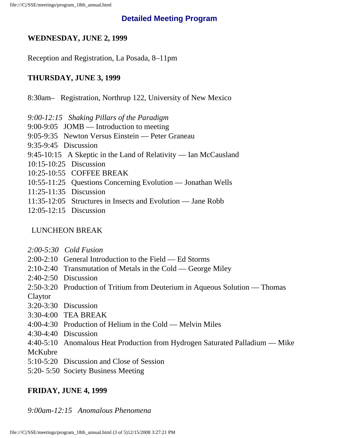### **Detailed Meeting Program**

### **WEDNESDAY, JUNE 2, 1999**

Reception and Registration, La Posada, 8–11pm

### **THURSDAY, JUNE 3, 1999**

8:30am– Registration, Northrup 122, University of New Mexico

*9:00-12:15 Shaking Pillars of the Paradigm*

9:00-9:05 JOMB — Introduction to meeting

- 9:05-9:35 Newton Versus Einstein Peter Graneau
- 9:35-9:45 Discussion
- 9:45-10:15 A Skeptic in the Land of Relativity Ian McCausland
- 10:15-10:25 Discussion
- 10:25-10:55 COFFEE BREAK
- 10:55-11:25 Questions Concerning Evolution Jonathan Wells
- 11:25-11:35 Discussion
- 11:35-12:05 Structures in Insects and Evolution Jane Robb
- 12:05-12:15 Discussion

#### LUNCHEON BREAK

- *2:00-5:30 Cold Fusion*
- 2:00-2:10 General Introduction to the Field Ed Storms
- 2:10-2:40 Transmutation of Metals in the Cold George Miley
- 2:40-2:50 Discussion
- 2:50-3:20 Production of Tritium from Deuterium in Aqueous Solution Thomas
- Claytor
- 3:20-3:30 Discussion
- 3:30-4:00 TEA BREAK
- 4:00-4:30 Production of Helium in the Cold Melvin Miles
- 4:30-4:40 Discussion
- 4:40-5:10 Anomalous Heat Production from Hydrogen Saturated Palladium Mike

McKubre

- 5:10-5:20 Discussion and Close of Session
- 5:20- 5:50 Society Business Meeting

### **FRIDAY, JUNE 4, 1999**

# *9:00am-12:15 Anomalous Phenomena*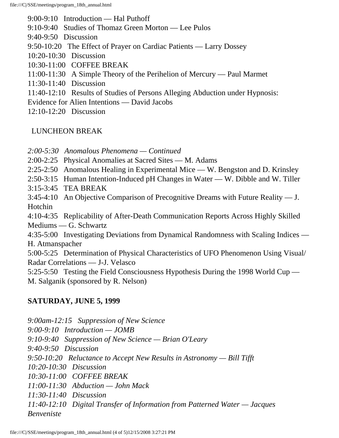9:00-9:10 Introduction — Hal Puthoff

- 9:10-9:40 Studies of Thomaz Green Morton Lee Pulos
- 9:40-9:50 Discussion
- 9:50-10:20 The Effect of Prayer on Cardiac Patients Larry Dossey
- 10:20-10:30 Discussion
- 10:30-11:00 COFFEE BREAK
- 11:00-11:30 A Simple Theory of the Perihelion of Mercury Paul Marmet
- 11:30-11:40 Discussion
- 11:40-12:10 Results of Studies of Persons Alleging Abduction under Hypnosis:
- Evidence for Alien Intentions David Jacobs
- 12:10-12:20 Discussion

# LUNCHEON BREAK

- *2:00-5:30 Anomalous Phenomena Continued*
- 2:00-2:25 Physical Anomalies at Sacred Sites M. Adams
- 2:25-2:50 Anomalous Healing in Experimental Mice W. Bengston and D. Krinsley
- 2:50-3:15 Human Intention-Induced pH Changes in Water W. Dibble and W. Tiller
- 3:15-3:45 TEA BREAK
- 3:45-4:10 An Objective Comparison of Precognitive Dreams with Future Reality J. Hotchin

4:10-4:35 Replicability of After-Death Communication Reports Across Highly Skilled Mediums — G. Schwartz

4:35-5:00 Investigating Deviations from Dynamical Randomness with Scaling Indices — H. Atmanspacher

5:00-5:25 Determination of Physical Characteristics of UFO Phenomenon Using Visual/ Radar Correlations — J-J. Velasco

5:25-5:50 Testing the Field Consciousness Hypothesis During the 1998 World Cup — M. Salganik (sponsored by R. Nelson)

# **SATURDAY, JUNE 5, 1999**

*9:00am-12:15 Suppression of New Science 9:00-9:10 Introduction — JOMB 9:10-9:40 Suppression of New Science — Brian O'Leary 9:40-9:50 Discussion 9:50-10:20 Reluctance to Accept New Results in Astronomy — Bill Tifft 10:20-10:30 Discussion 10:30-11:00 COFFEE BREAK 11:00-11:30 Abduction — John Mack 11:30-11:40 Discussion 11:40-12:10 Digital Transfer of Information from Patterned Water — Jacques Benveniste*